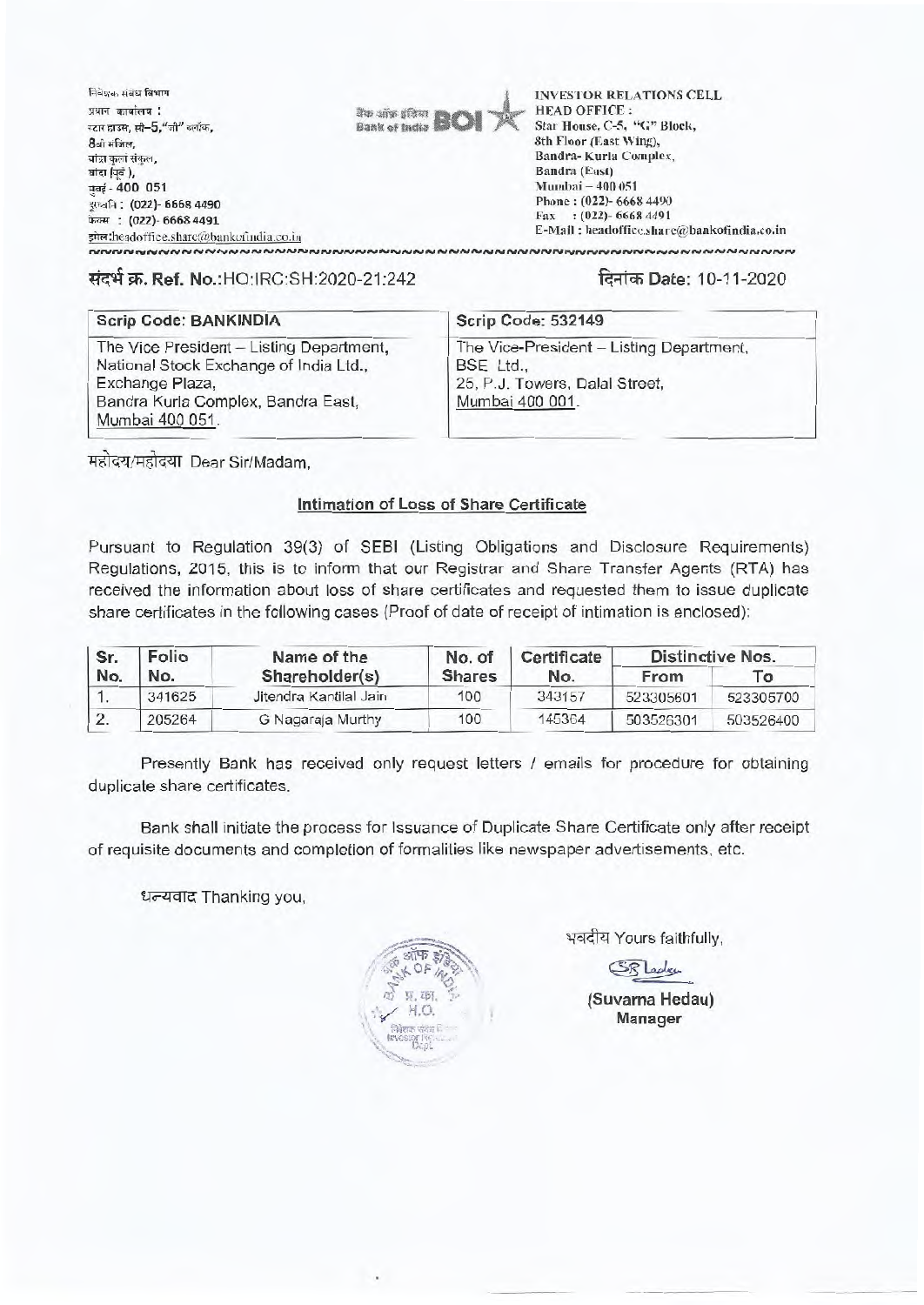निवेशक संबंध विभाग प्रधान कार्यालय :  $t$ टार हाउस, सी- $5$ ,"जी" ब्लॉक, 8ेवी मंजिल,<br>बांद्रा कर्ला संकल, बांद्रा (पूर्व), 1.1-4-4- **400 051 ••••=J -. (022)- 6668 4490**  <sup>r</sup>: **(022)- 6668 4491**  shatheadoffice.share@bankofindia.co.in



INVESTOR RELATIONS CELL HEAD OFFICE : Star House, C-5, "C" Block, 8th Floor (East Wing), Bandra- Kurla Complex, Bandra (East) Mumbai — 400 051 Phone : (022)- 6668 4490 Fax : (022)- 6668 4491 E-Mail: headoffice.share@bankofindia.co.in

## **\*4 T. Ref.** No.:HO:IRC:SH:2020-21:242 **Flqi-W Date: 10-11-2020**

### **Scrip Code: BANKINDIA Scrip Code: 532149**

**NNNNNNNNNNNNNNNNNNNNN** 

The Vice President - Listing Department, National Stock Exchange of India Ltd., Exchange Plaza, Bandra Kurla Complex, Bandra East, Mumbai 400 051.

The Vice-President - Listing Department,

BSE Ltd., 25, P.J. Towers, Dalal Street, Mumbai 400 001.

महोदय/महोदया Dear Sir/Madam,

### **Intimation of Loss of Share Certificate**

Pursuant to Regulation 39(3) of SEBI (Listing Obligations and Disclosure Requirements) Regulations, 2015, this is to inform that our Registrar and Share Transfer Agents (RTA) has received the information about loss of share certificates and requested them to issue duplicate share certificates in the following cases (Proof of date of receipt of intimation is enclosed):

| Sr.<br>No. | Folio<br>No. | Name of the            | No. of<br><b>Shares</b> | Certificate<br>No. | <b>Distinctive Nos.</b> |                |  |
|------------|--------------|------------------------|-------------------------|--------------------|-------------------------|----------------|--|
|            |              | Shareholder(s)         |                         |                    | From                    | $\mathbf{r}_0$ |  |
|            | 341625       | Jitendra Kantilal Jain | 100                     | 343157             | 523305601               | 523305700      |  |
|            | 205264       | G Nagaraja Murthy      | 100                     | 145364             | 503526301               | 503526400      |  |

Presently Bank has received only request letters / emails for procedure for obtaining duplicate share certificates.

Bank shall initiate the process for Issuance of Duplicate Share Certificate only after receipt of requisite documents and completion of formalities like newspaper advertisements, etc.

धन्यवाद Thanking you,

**W 267** 

भवदीय Yours faithfully,

SR Ledge

(Suvarna Hedau) H.O. **Manager Manager**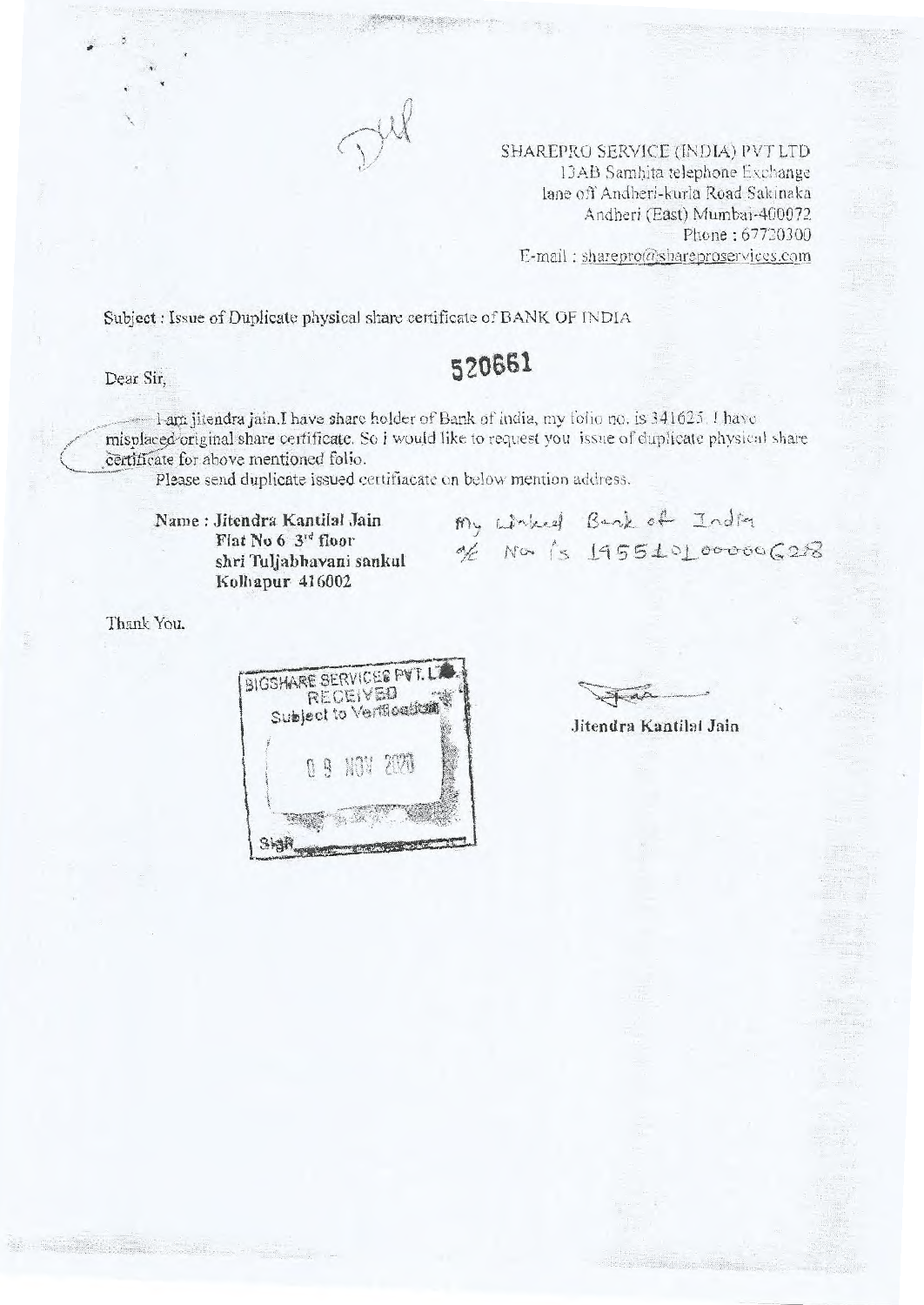

SHAREPRO SERVICE (INDIA) PVT LTD 13AB Samhita telephone Exchange lane off Andheri-kurla Road Sakinaka Andheri (East) Mumbai-400072 Phone : 67720300 E-mail : sharepro@shareproservices.com

Subject : Issue of Duplicate physical share certificate of BANK OF INDIA

# Dear Sir, **520661**

I-am jitendra jain.I have share holder of Bank of india, my folio no. is 341625. I have misplacedoriginal share certificate. So i would like to request you issue of duplicate physical share certificate for above mentioned folio.

Please send duplicate issued certifiacate on below mention address.

Name Jitendra Kantilal Jain Flat No 6 3rd floor shri Tuljabhavani sankul Kolhapur 416002

 $m_y$  which Bank of India<br>of Nor is 195510100000628

Thank You.



Jitendra Kantilal Jain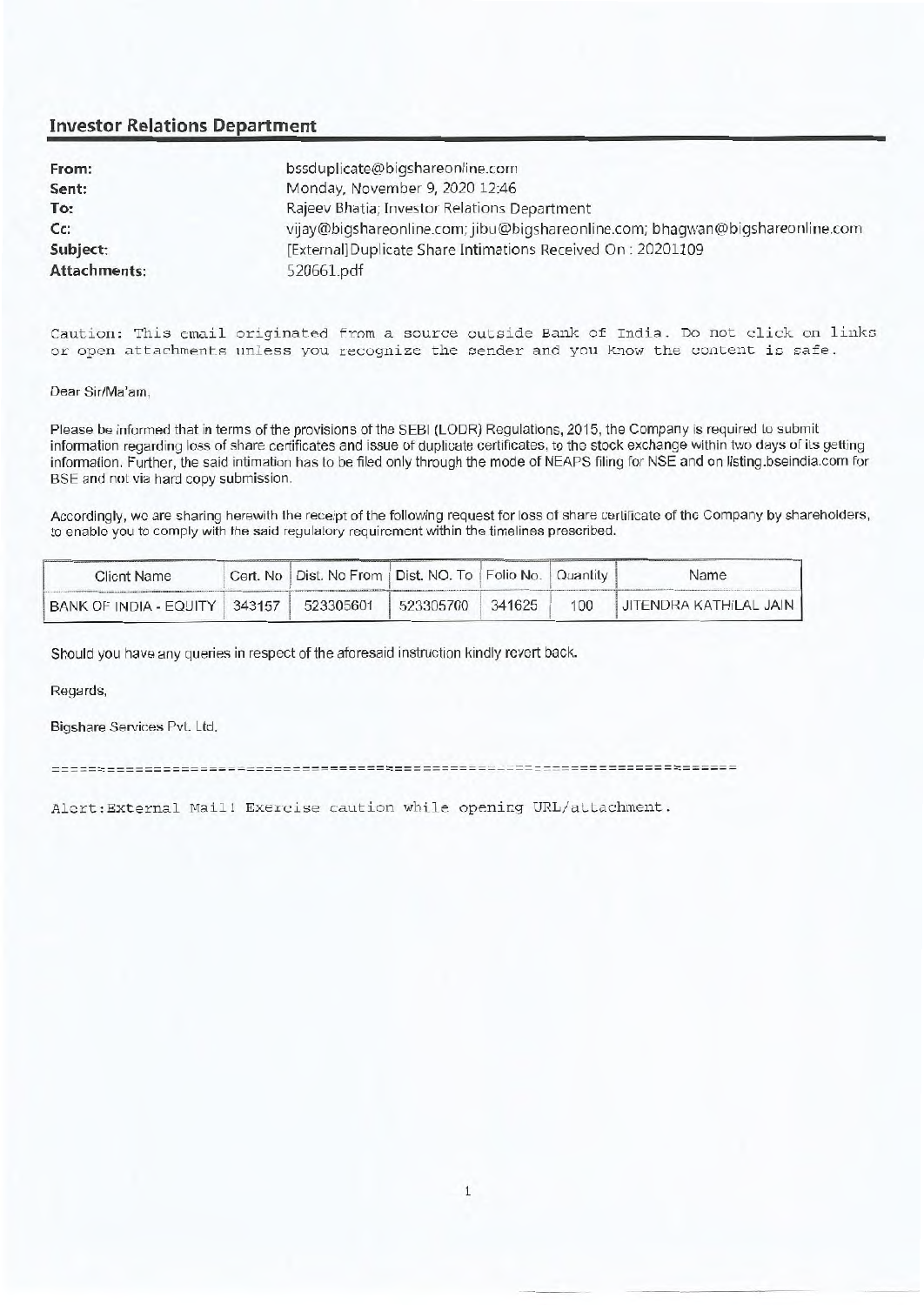### **Investor Relations Department**

| From:                                                                   | bssduplicate@bigshareonline.com                                               |  |  |
|-------------------------------------------------------------------------|-------------------------------------------------------------------------------|--|--|
| Sent:                                                                   | Monday, November 9, 2020 12:46                                                |  |  |
| To:<br>Rajeev Bhatia; Investor Relations Department                     |                                                                               |  |  |
| Cc                                                                      | vijay@bigshareonline.com; jibu@bigshareonline.com; bhaqwan@bigshareonline.com |  |  |
| [External]Duplicate Share Intimations Received On: 20201109<br>Subject: |                                                                               |  |  |
| <b>Attachments:</b>                                                     | 520661.pdf                                                                    |  |  |

Caution: This email originated from a source outside Bank of India. Do not click on links or open attachments unless you recognize the sender and you know the content is safe.

Dear Sir/Ma'am,

Please be informed that in terms of the provisions of the SEBI (LODR) Regulations, 2015, the Company is required to submit information regarding loss of share certificates and issue of duplicate certificates, to the stock exchange within two days of its getting information. Further, the said intimation has to be filed only through the mode of NEAPS filing for NSE and on listing.bseindia.com for BSE and not via hard copy submission.

Accordingly, we are sharing herewith the receipt of the following request for loss of share certificate of the Company by shareholders, to enable you to comply with the said regulatory requirement within the timelines prescribed.

| <b>Client Name</b>            | Cert. No   Dist. No From   Dist. NO. To   Folio No.   Quantity |        |     | Name                          |
|-------------------------------|----------------------------------------------------------------|--------|-----|-------------------------------|
| BANK OF INDIA - EQUITY 343157 | 523305601 523305700                                            | 341625 | 100 | <b>JITENDRA KATHILAL JAIN</b> |

Should you have any queries in respect of the aforesaid instruction kindly revert back.

Regards,

Bigshare Services Pvt. Ltd.

Alert:External Mail! Exercise caution while opening URL/attachment.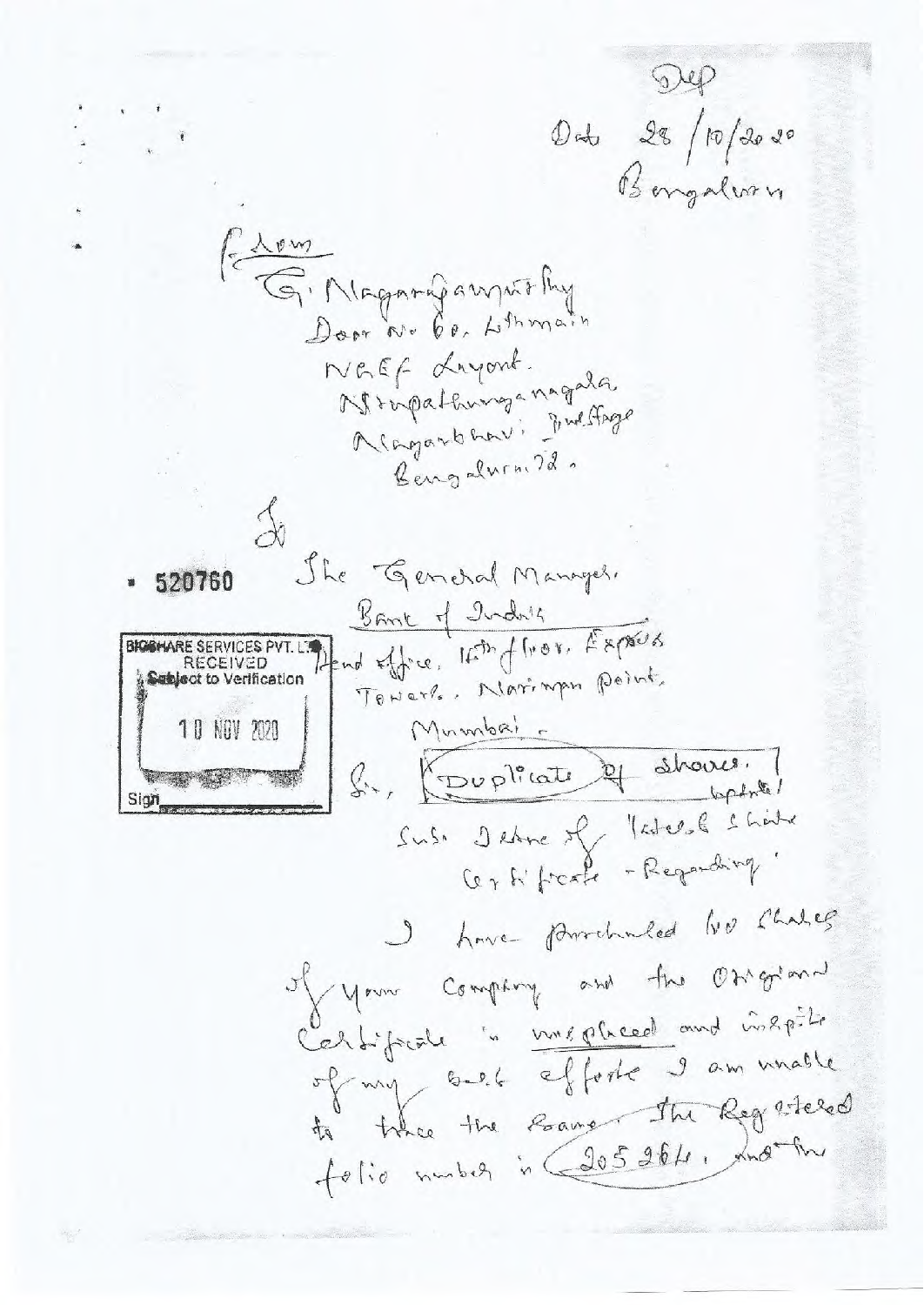Dep Och 28/10/2020<br>Bengalvan G. Niagning anywithy Door No 60, Lithmain NGEF Layont. Mropathunganagala Magarbaav: Fulfage Bengalwin. 72. The General Manager. <u>Bank of Inday</u> Hend office, Isth of Tron, Experts BKGGHARE SERVICES PVT. RECEIVED Toward. Noringen point. Subject to Verification Mumbai 10 NOV 2020 S., Couplicate et shaves. Sia Sus. Detre of Ketche Shite Certificate - Regarding" I have provided to change Man Company and the Osigian Certificate " unepheed and inspite of my self efforte I am unable the the Roanger the Reg steled  $44$ folio number in (205 264, xnother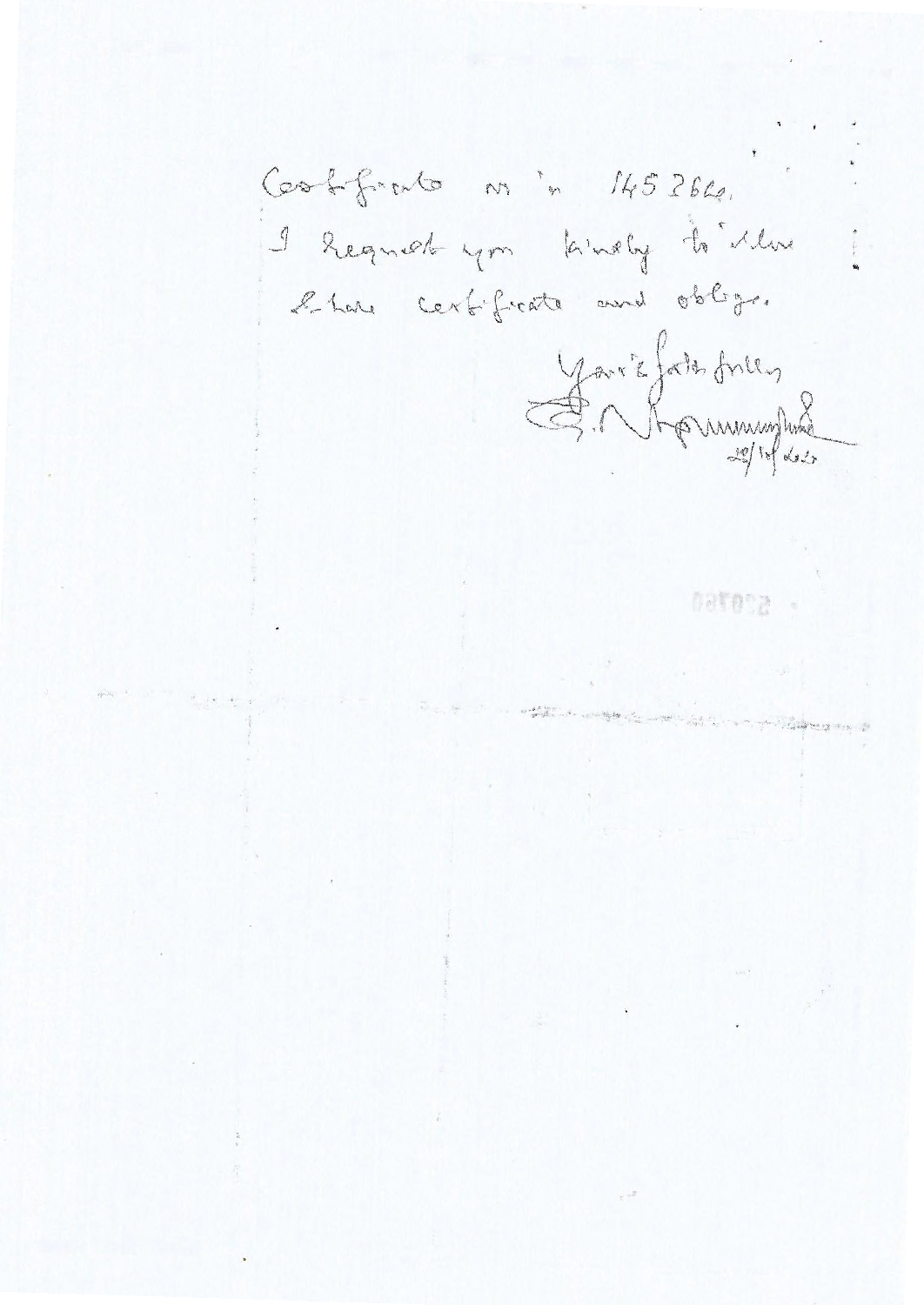Cookfirato nºn 145264. I heguck you kindly to illuse l'have certificate and oblige. Yaris fals frien SCOT60